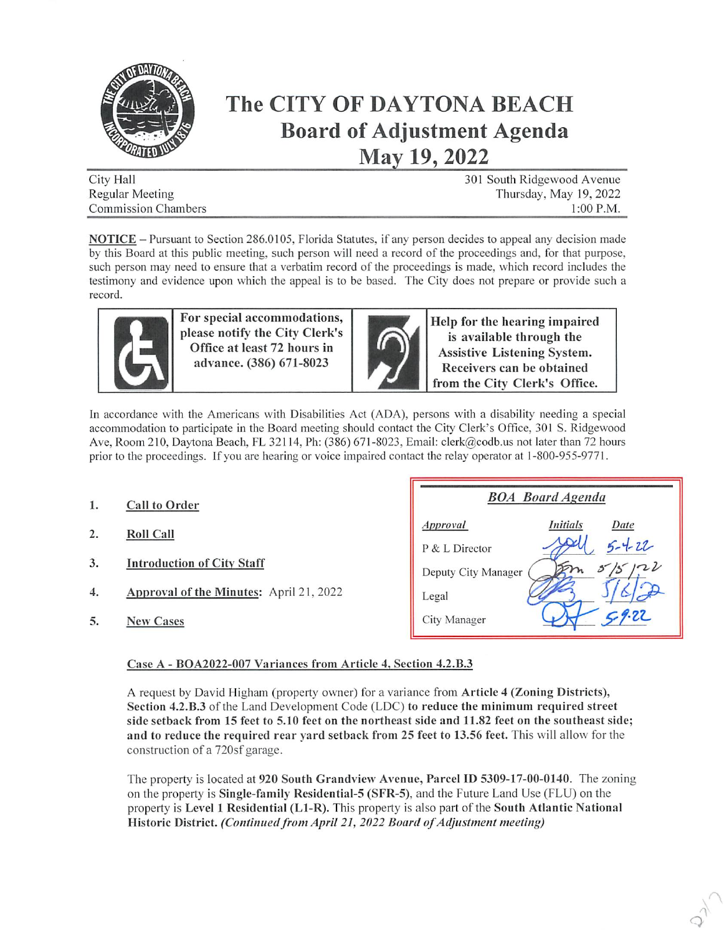

## The CITY OF DAYTONA BEACH Board of Adjustment Agenda May 19, 2022

| City Hall                  | 301 South Ridgewood Avenue |
|----------------------------|----------------------------|
| Regular Meeting            | Thursday, May 19, 2022     |
| <b>Commission Chambers</b> | $1:00$ P.M.                |

NOTICE - Pursuant to Section 286.0105, Florida Statutes, if any person decides to appeal any decision made by this Board at this public meeting, such person will need a record of the proceedings and, for that purpose, such person may need to ensure that a verbatim record of the proceedings is made, which record includes the testimony and evidence upon which the appeal is to be based. The City does not prepare or provide such a record.



For special accommodations, please notify the City Clerk's Office at least 72 hours in advance. (386) 671-8023



Help for the hearing impaired is available through the Assistive Listening System. Receivers can be obtained from the City Clerk's Office.

In accordance with the Americans with Disabilities Act (ADA), persons with a disability needing a special accommodation to participate in the Board meeting should contact the City Clerk's Office, 301 S. Ridgewood Ave, Room 210, Daytona Beach, PL 32114, Ph: (386) 671-8023, Email; clerk@codb.us not later than 72 hours prior to the proceedings. If you are hearing or voice impaired contact the relay operator at 1 -800-955-9771.

- 1. Call to Order
- 2. Roll Call
- 3. Introduction of Citv Staff
- 4. Approval of the Minutes: April 21, 2022
- 5. New Cases

| <b>BOA</b> Board Agenda |                         |
|-------------------------|-------------------------|
| Approval                | <i>Initials</i><br>Date |
| P & L Director          | $5 - 4 - 22$            |
| Deputy City Manager     | zZ                      |
| Legal                   |                         |
| City Manager            | 27                      |

 $\lambda$  $\hat{Q}$ 

## Case A - BOA2022-007 Variances from Article 4. Section 4.2.B.3

A request by David Higham (property owner) for a variance from Article 4 (Zoning Districts), Section 4.2.B.3 of the Land Development Code (LDC) to reduce the minimum required street side setback from 15 feet to 5.10 feet on the northeast side and 11.82 feet on the southeast side; and to reduce the required rear yard setback from 25 feet to 13.56 feet. This will allow for the construction of a 720sf garage.

The property is located at 920 South Grandvicw Avenue, Parcel ID 5309-17-00-0140. The zoning on the property is **Single-family Residential-5 (SFR-5)**, and the Future Land Use (FLU) on the property is Level 1 Residential (Ll-R). This property is also part of the South Atlantic National Historic District. (Continued from April 21, 2022 Board of Adjustment meeting)